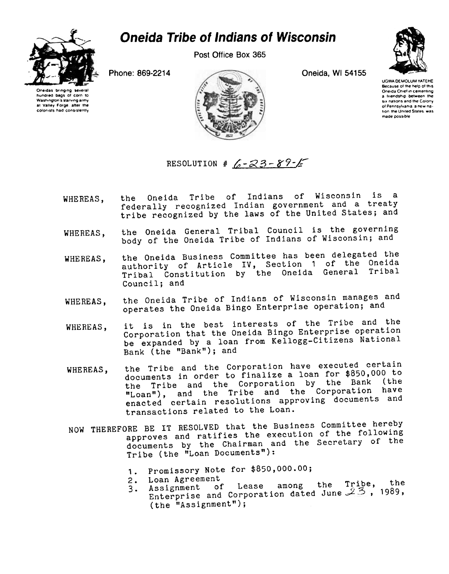## **Oneida Tribe of Indians of Wisconsin**



Post Office Box 365

Phone: 869-2214

Oneidas bringing severa hundred bags of corn to Washington's starving army at Valley Forge, after the colonists had consistently



Oneida, WI 54155

**UGWA DEMOLUM YATEHE** Because of the help of this Oneida Chief in cementing a friendship between the six nations and the Colony of Pennsylvania, a new nalion, the United States, was made possible

RESOLUTION # 6-23-89-6

- the Oneida Tribe of Indians of Wisconsin is a WHEREAS, federally recognized Indian government and a treaty tribe recognized by the laws of the United States; and
- the Oneida General Tribal Council is the governing WHEREAS, body of the Oneida Tribe of Indians of Wisconsin; and
- the Oneida Business Committee has been delegated the WHEREAS, authority of Article IV, Section 1 of the Oneida Tribal Constitution by the Oneida General Tribal Council; and
- the Oneida Tribe of Indians of Wisconsin manages and WHEREAS, operates the Oneida Bingo Enterprise operation; and
- it is in the best interests of the Tribe and the WHEREAS, Corporation that the Oneida Bingo Enterprise operation be expanded by a loan from Kellogg-Citizens National Bank (the "Bank"); and
- the Tribe and the Corporation have executed certain WHEREAS, documents in order to finalize a loan for \$850,000 to the Tribe and the Corporation by the Bank (the "Loan"), and the Tribe and the Corporation have enacted certain resolutions approving documents and transactions related to the Loan.
- NOW THEREFORE BE IT RESOLVED that the Business Committee hereby approves and ratifies the execution of the following documents by the Chairman and the Secretary of the Tribe (the "Loan Documents"):
	- 1. Promissory Note for \$850,000.00;
	- 2. Loan Agreement
	- 3. Assignment of Lease among the Tribe, the Enterprise and Corporation dated June  $23$ , 1989, (the "Assignment");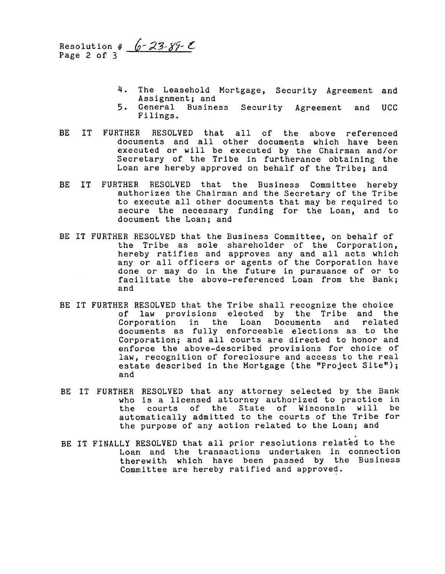Resolution #  $6 - 23 - 89 - 5$ Page 2 of 3

- 4. The Leasehold Mortgage, Security Agreement and Assignment; and
- 5. General Business Security Agreement and UCC Filings.
- BE IT FURTHER RESOLVED that all of the above reference documents and all other documents which have been executed or will be executed by the Chairman and/or Secretary of the Tribe in furtherance obtaining the Loan are hereby approved on behalf of the Tribe; and
- BE IT FURTHER RESOLVED that the Business Committee hereby authorizes the Chairman and the Secretary of the Tribe to execute all other documents that may be required to secure the necessary funding for the Loan, and to document the Loan; and
- BE IT FURTHER RESOLVED that the Business Committee, on behalf of the Tribe as sole shareholder of the Corporation, hereby ratifies and approves any and all acts which any or all officers or agents of the Corporation have done or may do in the future in pursuance of or to facilitate the above-referenced Loan from the Bank; and
- BE IT FURTHER RESOLVED that the Tribe shall recognize the choice of law provisions elected by the Tribe and the<br>Corporation in the Loan Documents and related Corporation in the Loan Documents and related documents as fully enforceable elections as to the Corporation; and all courts are directed to honor and enforce the above-described provisions for choice of law, recognition of foreclosure and access to the real estate described in the Mortgage (the "Project Site"); and
- BE IT FURTHER RESOLVED that any attorney selected by the Bank who is a licensed attorney authorized to practice in the courts of the State of Wisconsin will be automatically admitted to the courts of the Tribe for the purpose of any action related to the Loan; and
- BE IT FINALLY RESOLVED that all prior resolutions related to the Loan and the transactions undertaken in connection therewith which have been passed by the Business Committee are hereby ratified and approved.